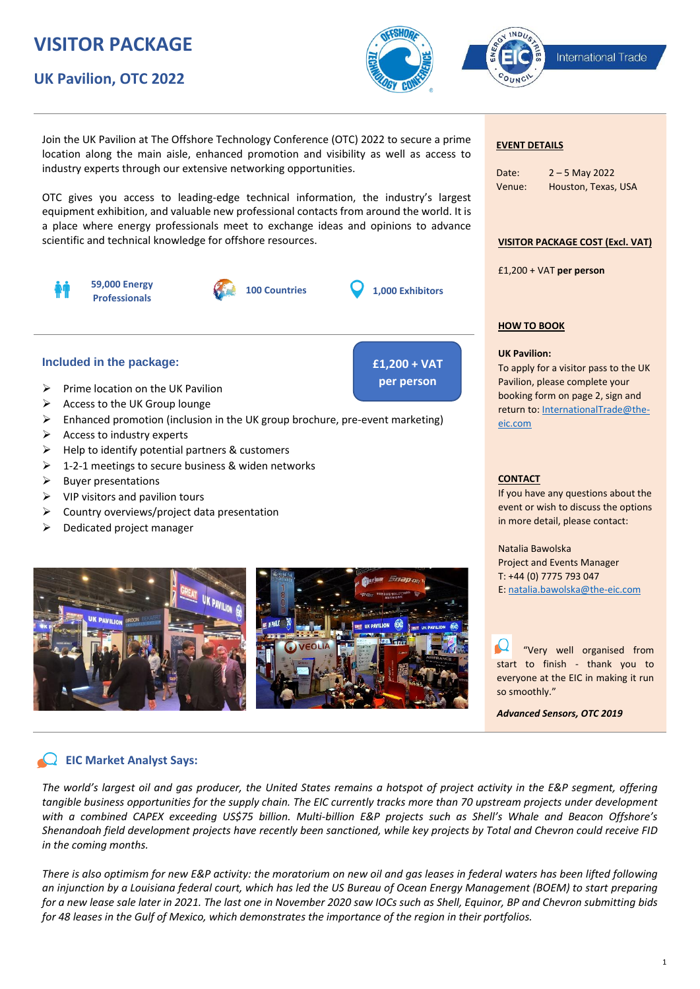# **VISITOR PACKAGE**

# **UK Pavilion, OTC 2022**



**£1,200 + VAT per person**

International Trade

Join the UK Pavilion at The Offshore Technology Conference (OTC) 2022 to secure a prime location along the main aisle, enhanced promotion and visibility as well as access to industry experts through our extensive networking opportunities.

OTC gives you access to leading-edge technical information, the industry's largest equipment exhibition, and valuable new professional contacts from around the world. It is a place where energy professionals meet to exchange ideas and opinions to advance scientific and technical knowledge for offshore resources.



# **Included in the package:**

- $\triangleright$  Prime location on the UK Pavilion
- ➢ Access to the UK Group lounge
- ➢ Enhanced promotion (inclusion in the UK group brochure, pre-event marketing)
- ➢ Access to industry experts
- ➢ Help to identify potential partners & customers
- $\geq 1$ -2-1 meetings to secure business & widen networks
- ➢ Buyer presentations
- $\triangleright$  VIP visitors and pavilion tours
- ➢ Country overviews/project data presentation
- ➢ Dedicated project manager



## **EVENT DETAILS**

INDU

| Date:  | $2 - 5$ May 2022    |
|--------|---------------------|
| Venue: | Houston, Texas, USA |

## **VISITOR PACKAGE COST (Excl. VAT)**

£1,200 + VAT **per person** 

## **HOW TO BOOK**

# **UK Pavilion:**

To apply for a visitor pass to the UK Pavilion, please complete your booking form on page 2, sign and return to: InternationalTrade@theeic.com

### **CONTACT**

If you have any questions about the event or wish to discuss the options in more detail, please contact:

Natalia Bawolska Project and Events Manager T: +44 (0) 7775 793 047 E: natalia.bawolska@the-eic.com

 "Very well organised from start to finish - thank you to everyone at the EIC in making it run so smoothly."

*Advanced Sensors, OTC 2019*

# **EIC Market Analyst Says:**

*The world's largest oil and gas producer, the United States remains a hotspot of project activity in the E&P segment, offering tangible business opportunities for the supply chain. The EIC currently tracks more than 70 upstream projects under development with a combined CAPEX exceeding US\$75 billion. Multi-billion E&P projects such as Shell's Whale and Beacon Offshore's Shenandoah field development projects have recently been sanctioned, while key projects by Total and Chevron could receive FID in the coming months.*

*There is also optimism for new E&P activity: the moratorium on new oil and gas leases in federal waters has been lifted following an injunction by a Louisiana federal court, which has led the US Bureau of Ocean Energy Management (BOEM) to start preparing for a new lease sale later in 2021. The last one in November 2020 saw IOCs such as Shell, Equinor, BP and Chevron submitting bids for 48 leases in the Gulf of Mexico, which demonstrates the importance of the region in their portfolios.*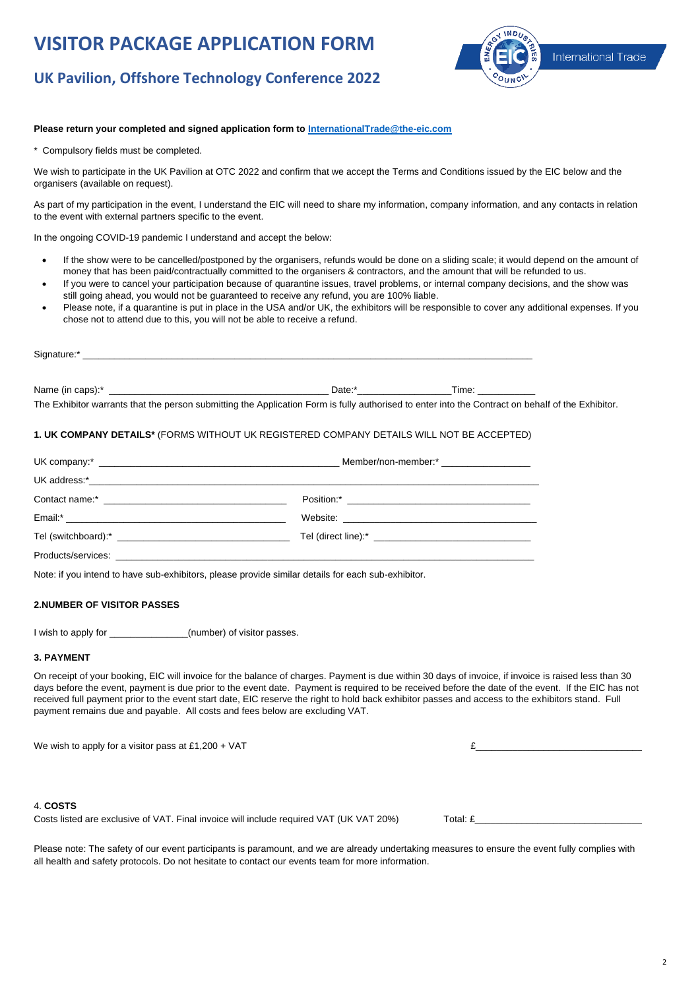# **VISITOR PACKAGE APPLICATION FORM**



# **UK Pavilion, Offshore Technology Conference 2022**

# **Please return your completed and signed application form to InternationalTrade@the-eic.com**

\* Compulsory fields must be completed.

We wish to participate in the UK Pavilion at OTC 2022 and confirm that we accept the Terms and Conditions issued by the EIC below and the organisers (available on request).

As part of my participation in the event, I understand the EIC will need to share my information, company information, and any contacts in relation to the event with external partners specific to the event.

In the ongoing COVID-19 pandemic I understand and accept the below:

- If the show were to be cancelled/postponed by the organisers, refunds would be done on a sliding scale; it would depend on the amount of money that has been paid/contractually committed to the organisers & contractors, and the amount that will be refunded to us.
- If you were to cancel your participation because of quarantine issues, travel problems, or internal company decisions, and the show was still going ahead, you would not be guaranteed to receive any refund, you are 100% liable.
- Please note, if a quarantine is put in place in the USA and/or UK, the exhibitors will be responsible to cover any additional expenses. If you chose not to attend due to this, you will not be able to receive a refund.

| Signature:' | $\sim$ $\sim$ $\sim$ $\sim$ $\sim$ $\sim$ |  |  |  |
|-------------|-------------------------------------------|--|--|--|
|             |                                           |  |  |  |
|             |                                           |  |  |  |
|             |                                           |  |  |  |

Name (in caps):\* \_\_\_\_\_\_\_\_\_\_\_\_\_\_\_\_\_\_\_\_\_\_\_\_\_\_\_\_\_\_\_\_\_\_\_\_\_\_\_\_\_\_ Date:\*\_\_\_\_\_\_\_\_\_\_\_\_\_\_\_\_\_\_Time: \_\_\_\_\_\_\_\_\_\_\_ The Exhibitor warrants that the person submitting the Application Form is fully authorised to enter into the Contract on behalf of the Exhibitor.

# **1. UK COMPANY DETAILS\*** (FORMS WITHOUT UK REGISTERED COMPANY DETAILS WILL NOT BE ACCEPTED)

| Tel (direct line):* Tel (direct line): * |  |  |
|------------------------------------------|--|--|
|                                          |  |  |

Note: if you intend to have sub-exhibitors, please provide similar details for each sub-exhibitor.

# **2.NUMBER OF VISITOR PASSES**

I wish to apply for \_\_\_\_\_\_\_\_\_\_\_\_\_\_\_(number) of visitor passes.

### **3. PAYMENT**

On receipt of your booking, EIC will invoice for the balance of charges. Payment is due within 30 days of invoice, if invoice is raised less than 30 days before the event, payment is due prior to the event date. Payment is required to be received before the date of the event. If the EIC has not received full payment prior to the event start date, EIC reserve the right to hold back exhibitor passes and access to the exhibitors stand. Full payment remains due and payable. All costs and fees below are excluding VAT.

We wish to apply for a visitor pass at £1,200 + VAT  $\epsilon$ 

# 4. **COSTS**

Costs listed are exclusive of VAT. Final invoice will include required VAT (UK VAT 20%) Total:  $E$ 

Please note: The safety of our event participants is paramount, and we are already undertaking measures to ensure the event fully complies with all health and safety protocols. Do not hesitate to contact our events team for more information.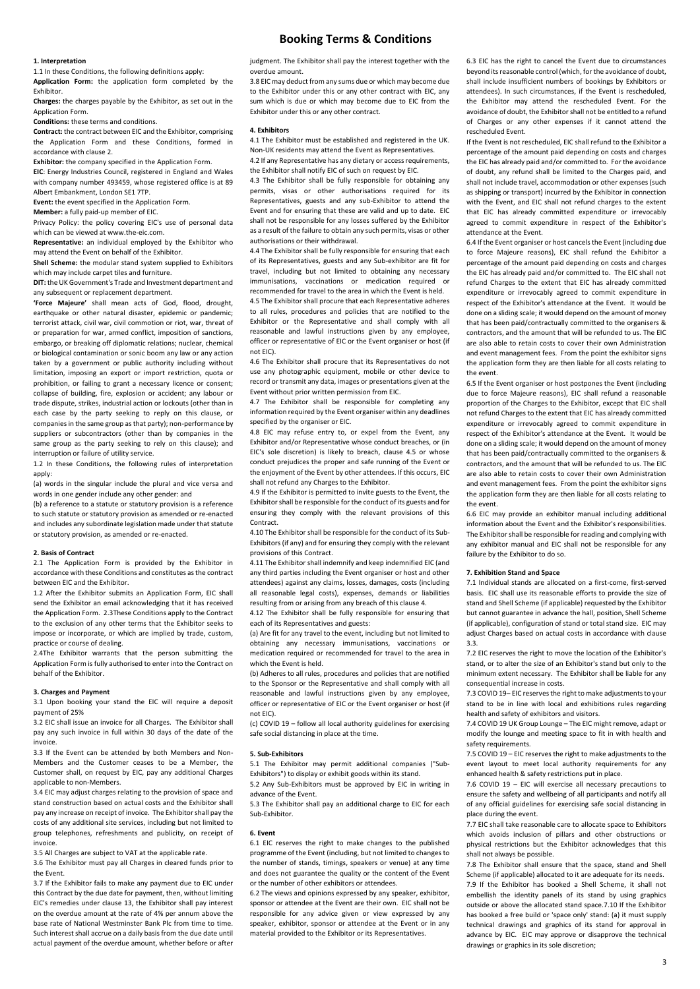# **Booking Terms & Conditions**

#### **1. Interpretation**

1.1 In these Conditions, the following definitions apply:

**Application Form:** the application form completed by the Exhibitor.

**Charges:** the charges payable by the Exhibitor, as set out in the Application Form.

**Conditions:** these terms and conditions.

**Contract:** the contract between EIC and the Exhibitor, comprising the Application Form and these Conditions, formed in accordance with clause 2.

**Exhibitor:** the company specified in the Application Form. **EIC**: Energy Industries Council, registered in England and Wales

with company number 493459, whose registered office is at 89 Albert Embankment, London SE1 7TP.

**Event:** the event specified in the Application Form.

**Member:** a fully paid-up member of EIC.

Privacy Policy: the policy covering EIC's use of personal data which can be viewed at www.the-eic.com.

**Representative:** an individual employed by the Exhibitor who may attend the Event on behalf of the Exhibitor.

**Shell Scheme:** the modular stand system supplied to Exhibitors which may include carpet tiles and furniture.

**DIT:** the UK Government's Trade and Investment department and any subsequent or replacement department.

**'Force Majeure'** shall mean acts of God, flood, drought, earthquake or other natural disaster, epidemic or pandemic; terrorist attack, civil war, civil commotion or riot, war, threat of or preparation for war, armed conflict, imposition of sanctions, embargo, or breaking off diplomatic relations; nuclear, chemical or biological contamination or sonic boom any law or any action taken by a government or public authority including without limitation, imposing an export or import restriction, quota or prohibition, or failing to grant a necessary licence or consent; collapse of building, fire, explosion or accident; any labour or trade dispute, strikes, industrial action or lockouts (other than in each case by the party seeking to reply on this clause, or companies in the same group as that party); non-performance by suppliers or subcontractors (other than by companies in the same group as the party seeking to rely on this clause); and interruption or failure of utility service.

1.2 In these Conditions, the following rules of interpretation apply:

(a) words in the singular include the plural and vice versa and words in one gender include any other gender: and

(b) a reference to a statute or statutory provision is a reference to such statute or statutory provision as amended or re-enacted and includes any subordinate legislation made under that statute or statutory provision, as amended or re-enacted.

#### **2. Basis of Contract**

2.1 The Application Form is provided by the Exhibitor in accordance with these Conditions and constitutes as the contract between EIC and the Exhibitor.

1.2 After the Exhibitor submits an Application Form, EIC shall send the Exhibitor an email acknowledging that it has received the Application Form. 2.3These Conditions apply to the Contract to the exclusion of any other terms that the Exhibitor seeks to impose or incorporate, or which are implied by trade, custom, practice or course of dealing.

2.4The Exhibitor warrants that the person submitting the Application Form is fully authorised to enter into the Contract on behalf of the Exhibitor.

#### **3. Charges and Payment**

3.1 Upon booking your stand the EIC will require a deposit payment of 25%

3.2 EIC shall issue an invoice for all Charges. The Exhibitor shall pay any such invoice in full within 30 days of the date of the invoice.

3.3 If the Event can be attended by both Members and Non-Members and the Customer ceases to be a Member, the Customer shall, on request by EIC, pay any additional Charges applicable to non-Members.

3.4 EIC may adjust charges relating to the provision of space and stand construction based on actual costs and the Exhibitor shall pay any increase on receipt of invoice. The Exhibitor shall pay the costs of any additional site services, including but not limited to group telephones, refreshments and publicity, on receipt of invoice.

3.5 All Charges are subject to VAT at the applicable rate.

3.6 The Exhibitor must pay all Charges in cleared funds prior to the Event.

3.7 If the Exhibitor fails to make any payment due to EIC under this Contract by the due date for payment, then, without limiting EIC's remedies under clause 13, the Exhibitor shall pay interest on the overdue amount at the rate of 4% per annum above the base rate of National Westminster Bank Plc from time to time. Such interest shall accrue on a daily basis from the due date until actual payment of the overdue amount, whether before or after

judgment. The Exhibitor shall pay the interest together with the overdue amount.

3.8 EIC may deduct from any sums due or which may become due to the Exhibitor under this or any other contract with EIC, any sum which is due or which may become due to EIC from the Exhibitor under this or any other contract.

#### **4. Exhibitors**

4.1 The Exhibitor must be established and registered in the UK. Non-UK residents may attend the Event as Representatives.

4.2 If any Representative has any dietary or access requirements, the Exhibitor shall notify EIC of such on request by EIC.

4.3 The Exhibitor shall be fully responsible for obtaining any permits, visas or other authorisations required for its Representatives, guests and any sub-Exhibitor to attend the Event and for ensuring that these are valid and up to date. EIC shall not be responsible for any losses suffered by the Exhibitor as a result of the failure to obtain any such permits, visas or other authorisations or their withdrawal.

4.4 The Exhibitor shall be fully responsible for ensuring that each of its Representatives, guests and any Sub-exhibitor are fit for travel, including but not limited to obtaining any necessary immunisations, vaccinations or medication required or recommended for travel to the area in which the Event is held.

4.5 The Exhibitor shall procure that each Representative adheres to all rules, procedures and policies that are notified to the Exhibitor or the Representative and shall comply with all reasonable and lawful instructions given by any employee, officer or representative of EIC or the Event organiser or host (if not EIC).

4.6 The Exhibitor shall procure that its Representatives do not use any photographic equipment, mobile or other device to record or transmit any data, images or presentations given at the Event without prior written permission from EIC.

4.7 The Exhibitor shall be responsible for completing any information required by the Event organiser within any deadlines specified by the organiser or EIC.

4.8 EIC may refuse entry to, or expel from the Event, any Exhibitor and/or Representative whose conduct breaches, or (in EIC's sole discretion) is likely to breach, clause 4.5 or whose conduct prejudices the proper and safe running of the Event or the enjoyment of the Event by other attendees. If this occurs, EIC shall not refund any Charges to the Exhibitor.

4.9 If the Exhibitor is permitted to invite guests to the Event, the Exhibitor shall be responsible for the conduct of its guests and for ensuring they comply with the relevant provisions of this **Contract.** 

4.10 The Exhibitor shall be responsible for the conduct of its Sub-Exhibitors (if any) and for ensuring they comply with the relevant provisions of this Contract.

4.11 The Exhibitor shall indemnify and keep indemnified EIC (and any third parties including the Event organiser or host and other attendees) against any claims, losses, damages, costs (including all reasonable legal costs), expenses, demands or liabilities resulting from or arising from any breach of this clause 4.

4.12 The Exhibitor shall be fully responsible for ensuring that each of its Representatives and guests:

(a) Are fit for any travel to the event, including but not limited to obtaining any necessary immunisations, vaccinations or medication required or recommended for travel to the area in which the Event is held.

(b) Adheres to all rules, procedures and policies that are notified to the Sponsor or the Representative and shall comply with all reasonable and lawful instructions given by any employee, officer or representative of EIC or the Event organiser or host (if not EIC).

(c) COVID 19 – follow all local authority guidelines for exercising safe social distancing in place at the time.

#### **5. Sub-Exhibitors**

5.1 The Exhibitor may permit additional companies ("Sub-Exhibitors") to display or exhibit goods within its stand.

5.2 Any Sub-Exhibitors must be approved by EIC in writing in advance of the Event.

5.3 The Exhibitor shall pay an additional charge to EIC for each Sub-Exhibitor.

#### **6. Event**

6.1 EIC reserves the right to make changes to the published programme of the Event (including, but not limited to changes to the number of stands, timings, speakers or venue) at any time and does not guarantee the quality or the content of the Event or the number of other exhibitors or attendees.

6.2 The views and opinions expressed by any speaker, exhibitor, sponsor or attendee at the Event are their own. EIC shall not be responsible for any advice given or view expressed by any speaker, exhibitor, sponsor or attendee at the Event or in any material provided to the Exhibitor or its Representatives.

6.3 EIC has the right to cancel the Event due to circumstances beyond its reasonable control (which, for the avoidance of doubt, shall include insufficient numbers of bookings by Exhibitors or attendees). In such circumstances, if the Event is rescheduled, the Exhibitor may attend the rescheduled Event. For the avoidance of doubt, the Exhibitor shall not be entitled to a refund of Charges or any other expenses if it cannot attend the rescheduled Event.

If the Event is not rescheduled, EIC shall refund to the Exhibitor a percentage of the amount paid depending on costs and charges the EIC has already paid and/or committed to. For the avoidance of doubt, any refund shall be limited to the Charges paid, and shall not include travel, accommodation or other expenses (such as shipping or transport) incurred by the Exhibitor in connection with the Event, and EIC shall not refund charges to the extent that EIC has already committed expenditure or irrevocably agreed to commit expenditure in respect of the Exhibitor's attendance at the Event.

6.4 If the Event organiser or host cancels the Event (including due to force Majeure reasons), EIC shall refund the Exhibitor a percentage of the amount paid depending on costs and charges the EIC has already paid and/or committed to. The EIC shall not refund Charges to the extent that EIC has already committed expenditure or irrevocably agreed to commit expenditure in respect of the Exhibitor's attendance at the Event. It would be done on a sliding scale; it would depend on the amount of money that has been paid/contractually committed to the organisers & contractors, and the amount that will be refunded to us. The EIC are also able to retain costs to cover their own Administration and event management fees. From the point the exhibitor signs the application form they are then liable for all costs relating to the event.

6.5 If the Event organiser or host postpones the Event (including due to force Majeure reasons), EIC shall refund a reasonable proportion of the Charges to the Exhibitor, except that EIC shall not refund Charges to the extent that EIC has already committed expenditure or irrevocably agreed to commit expenditure in respect of the Exhibitor's attendance at the Event. It would be done on a sliding scale; it would depend on the amount of money that has been paid/contractually committed to the organisers & contractors, and the amount that will be refunded to us. The EIC are also able to retain costs to cover their own Administration and event management fees. From the point the exhibitor signs the application form they are then liable for all costs relating to the event.

6.6 EIC may provide an exhibitor manual including additional information about the Event and the Exhibitor's responsibilities. The Exhibitor shall be responsible for reading and complying with any exhibitor manual and EIC shall not be responsible for any failure by the Exhibitor to do so.

#### **7. Exhibition Stand and Space**

7.1 Individual stands are allocated on a first-come, first-served basis. EIC shall use its reasonable efforts to provide the size of stand and Shell Scheme (if applicable) requested by the Exhibitor but cannot guarantee in advance the hall, position, Shell Scheme (if applicable), configuration of stand or total stand size. EIC may adjust Charges based on actual costs in accordance with clause 3.3.

7.2 EIC reserves the right to move the location of the Exhibitor's stand, or to alter the size of an Exhibitor's stand but only to the minimum extent necessary. The Exhibitor shall be liable for any consequential increase in costs.

7.3 COVID 19– EIC reserves the right to make adjustments to your stand to be in line with local and exhibitions rules regarding health and safety of exhibitors and visitors.

7.4 COVID 19 UK Group Lounge – The EIC might remove, adapt or modify the lounge and meeting space to fit in with health and safety requirements.

7.5 COVID 19 – EIC reserves the right to make adjustments to the event layout to meet local authority requirements for any enhanced health & safety restrictions put in place.

7.6 COVID 19 – EIC will exercise all necessary precautions to ensure the safety and wellbeing of all participants and notify all of any official guidelines for exercising safe social distancing in place during the event.

7.7 EIC shall take reasonable care to allocate space to Exhibitors which avoids inclusion of pillars and other obstructions or physical restrictions but the Exhibitor acknowledges that this shall not always be possible.

7.8 The Exhibitor shall ensure that the space, stand and Shell Scheme (if applicable) allocated to it are adequate for its needs. 7.9 If the Exhibitor has booked a Shell Scheme, it shall not embellish the identity panels of its stand by using graphics outside or above the allocated stand space.7.10 If the Exhibitor has booked a free build or 'space only' stand: (a) it must supply technical drawings and graphics of its stand for approval in advance by EIC. EIC may approve or disapprove the technical drawings or graphics in its sole discretion;